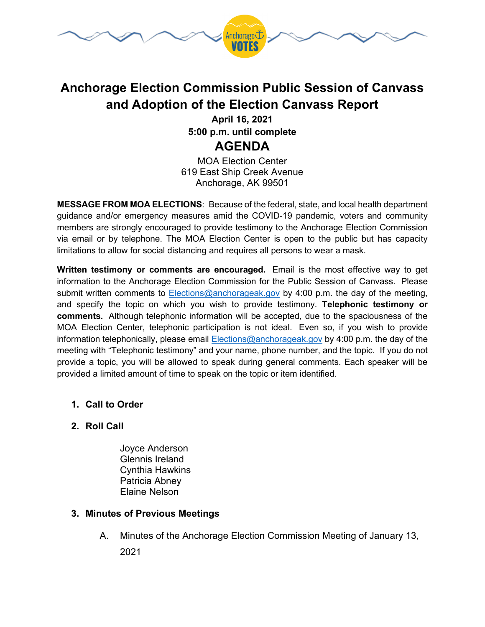

# **Anchorage Election Commission Public Session of Canvass and Adoption of the Election Canvass Report**

**April 16, 2021 5:00 p.m. until complete AGENDA**

MOA Election Center 619 East Ship Creek Avenue Anchorage, AK 99501

**MESSAGE FROM MOA ELECTIONS**: Because of the federal, state, and local health department guidance and/or emergency measures amid the COVID-19 pandemic, voters and community members are strongly encouraged to provide testimony to the Anchorage Election Commission via email or by telephone. The MOA Election Center is open to the public but has capacity limitations to allow for social distancing and requires all persons to wear a mask.

**Written testimony or comments are encouraged.** Email is the most effective way to get information to the Anchorage Election Commission for the Public Session of Canvass. Please submit written comments to [Elections@anchorageak.gov](mailto:Elections@anchorageak.gov) by 4:00 p.m. the day of the meeting, and specify the topic on which you wish to provide testimony. **Telephonic testimony or comments.** Although telephonic information will be accepted, due to the spaciousness of the MOA Election Center, telephonic participation is not ideal. Even so, if you wish to provide information telephonically, please email **Elections@anchorageak.gov** by 4:00 p.m. the day of the meeting with "Telephonic testimony" and your name, phone number, and the topic. If you do not provide a topic, you will be allowed to speak during general comments. Each speaker will be provided a limited amount of time to speak on the topic or item identified.

### **1. Call to Order**

### **2. Roll Call**

Joyce Anderson Glennis Ireland Cynthia Hawkins Patricia Abney Elaine Nelson

### **3. Minutes of Previous Meetings**

A. Minutes of the Anchorage Election Commission Meeting of January 13, 2021